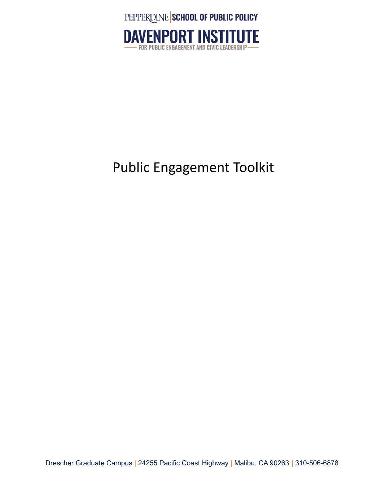



### Public Engagement Toolkit

Drescher Graduate Campus **|** 24255 Pacific Coast Highway **|** Malibu, CA 90263 **|** 310-506-6878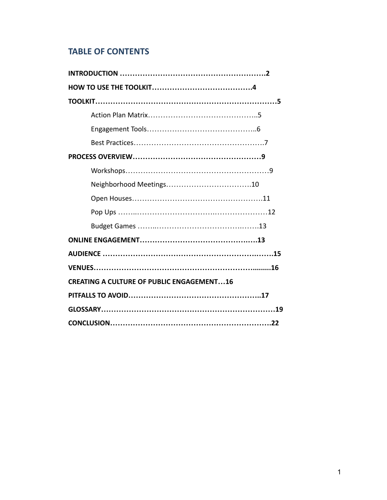### **TABLE OF CONTENTS**

| <b>CREATING A CULTURE OF PUBLIC ENGAGEMENT16</b> |  |  |
|--------------------------------------------------|--|--|
|                                                  |  |  |
|                                                  |  |  |
|                                                  |  |  |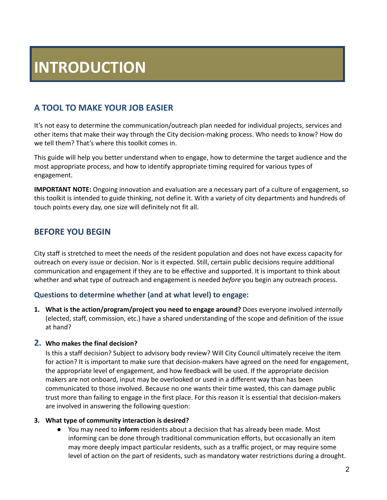### **INTRODUCTION**

### **A TOOL TO MAKE YOUR JOB EASIER**

It's not easy to determine the communication/outreach plan needed for individual projects, services and other items that make their way through the City decision-making process. Who needs to know? How do we tell them? That's where this toolkit comes in.

This guide will help you better understand when to engage, how to determine the target audience and the most appropriate process, and how to identify appropriate timing required for various types of engagement.

**IMPORTANT NOTE:** Ongoing innovation and evaluation are a necessary part of a culture of engagement, so this toolkit is intended to guide thinking, not define it. With a variety of city departments and hundreds of touch points every day, one size will definitely not fit all.

#### **BEFORE YOU BEGIN**

City staff is stretched to meet the needs of the resident population and does not have excess capacity for outreach on every issue or decision. Nor is it expected. Still, certain public decisions require additional communication and engagement if they are to be effective and supported. It is important to think about whether and what type of outreach and engagement is needed *before* you begin any outreach process.

#### **Questions to determine whether (and at what level) to engage:**

**1. What is the action/program/project you need to engage around?** Does everyone involved *internally* (elected, staff, commission, etc.) have a shared understanding of the scope and definition of the issue at hand?

#### **2. Who makes the final decision?**

Is this a staff decision? Subject to advisory body review? Will City Council ultimately receive the item for action? It is important to make sure that decision-makers have agreed on the need for engagement, the appropriate level of engagement, and how feedback will be used. If the appropriate decision makers are not onboard, input may be overlooked or used in a different way than has been communicated to those involved. Because no one wants their time wasted, this can damage public trust more than failing to engage in the first place. For this reason it is essential that decision-makers are involved in answering the following question:

#### **3. What type of community interaction is desired?**

● You may need to **inform** residents about a decision that has already been made. Most informing can be done through traditional communication efforts, but occasionally an item may more deeply impact particular residents, such as a traffic project, or may require some level of action on the part of residents, such as mandatory water restrictions during a drought.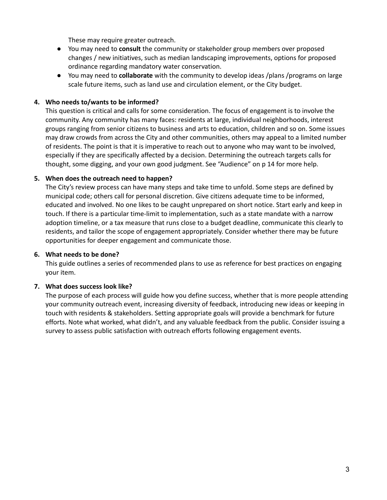These may require greater outreach.

- You may need to **consult** the community or stakeholder group members over proposed changes / new initiatives, such as median landscaping improvements, options for proposed ordinance regarding mandatory water conservation.
- **●** You may need to **collaborate** with the community to develop ideas /plans /programs on large scale future items, such as land use and circulation element, or the City budget.

#### **4. Who needs to/wants to be informed?**

This question is critical and calls for some consideration. The focus of engagement is to involve the community. Any community has many faces: residents at large, individual neighborhoods, interest groups ranging from senior citizens to business and arts to education, children and so on. Some issues may draw crowds from across the City and other communities, others may appeal to a limited number of residents. The point is that it is imperative to reach out to anyone who may want to be involved, especially if they are specifically affected by a decision. Determining the outreach targets calls for thought, some digging, and your own good judgment. See "Audience" on p 14 for more help.

#### **5. When does the outreach need to happen?**

The City's review process can have many steps and take time to unfold. Some steps are defined by municipal code; others call for personal discretion. Give citizens adequate time to be informed, educated and involved. No one likes to be caught unprepared on short notice. Start early and keep in touch. If there is a particular time-limit to implementation, such as a state mandate with a narrow adoption timeline, or a tax measure that runs close to a budget deadline, communicate this clearly to residents, and tailor the scope of engagement appropriately. Consider whether there may be future opportunities for deeper engagement and communicate those.

#### **6. What needs to be done?**

This guide outlines a series of recommended plans to use as reference for best practices on engaging your item.

#### **7. What does success look like?**

The purpose of each process will guide how you define success, whether that is more people attending your community outreach event, increasing diversity of feedback, introducing new ideas or keeping in touch with residents & stakeholders. Setting appropriate goals will provide a benchmark for future efforts. Note what worked, what didn't, and any valuable feedback from the public. Consider issuing a survey to assess public satisfaction with outreach efforts following engagement events.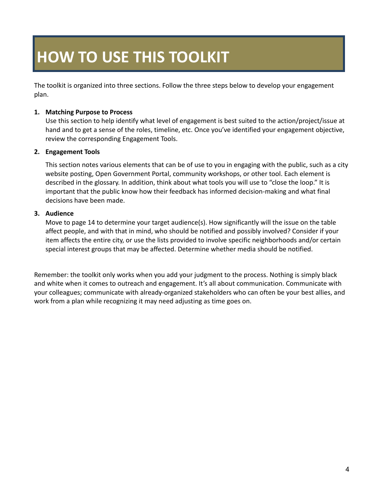## **HOW TO USE THIS TOOLKIT**

The toolkit is organized into three sections. Follow the three steps below to develop your engagement plan.

#### **1. Matching Purpose to Process**

Use this section to help identify what level of engagement is best suited to the action/project/issue at hand and to get a sense of the roles, timeline, etc. Once you've identified your engagement objective, review the corresponding Engagement Tools.

#### **2. Engagement Tools**

This section notes various elements that can be of use to you in engaging with the public, such as a city website posting, Open Government Portal, community workshops, or other tool. Each element is described in the glossary. In addition, think about what tools you will use to "close the loop." It is important that the public know how their feedback has informed decision-making and what final decisions have been made.

#### **3. Audience**

Move to page 14 to determine your target audience(s). How significantly will the issue on the table affect people, and with that in mind, who should be notified and possibly involved? Consider if your item affects the entire city, or use the lists provided to involve specific neighborhoods and/or certain special interest groups that may be affected. Determine whether media should be notified.

Remember: the toolkit only works when you add your judgment to the process. Nothing is simply black and white when it comes to outreach and engagement. It's all about communication. Communicate with your colleagues; communicate with already-organized stakeholders who can often be your best allies, and work from a plan while recognizing it may need adjusting as time goes on.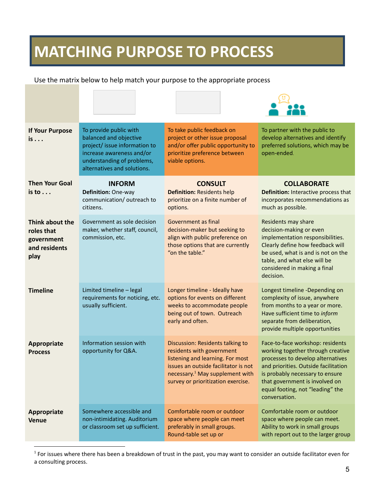### **MATCHING PURPOSE TO PROCESS**

Use the matrix below to help match your purpose to the appropriate process

| <b>If Your Purpose</b><br>is                                         | To provide public with<br>balanced and objective<br>project/ issue information to<br>increase awareness and/or<br>understanding of problems,<br>alternatives and solutions. | To take public feedback on<br>project or other issue proposal<br>and/or offer public opportunity to<br>prioritize preference between<br>viable options.                                                                        | To partner with the public to<br>develop alternatives and identify<br>preferred solutions, which may be<br>open-ended.                                                                                                                                                       |
|----------------------------------------------------------------------|-----------------------------------------------------------------------------------------------------------------------------------------------------------------------------|--------------------------------------------------------------------------------------------------------------------------------------------------------------------------------------------------------------------------------|------------------------------------------------------------------------------------------------------------------------------------------------------------------------------------------------------------------------------------------------------------------------------|
| <b>Then Your Goal</b><br>$is to \ldots$                              | <b>INFORM</b><br>Definition: One-way<br>communication/outreach to<br>citizens.                                                                                              | <b>CONSULT</b><br><b>Definition: Residents help</b><br>prioritize on a finite number of<br>options.                                                                                                                            | <b>COLLABORATE</b><br>Definition: Interactive process that<br>incorporates recommendations as<br>much as possible.                                                                                                                                                           |
| Think about the<br>roles that<br>government<br>and residents<br>play | Government as sole decision<br>maker, whether staff, council,<br>commission, etc.                                                                                           | Government as final<br>decision-maker but seeking to<br>align with public preference on<br>those options that are currently<br>"on the table."                                                                                 | Residents may share<br>decision-making or even<br>implementation responsibilities.<br>Clearly define how feedback will<br>be used, what is and is not on the<br>table, and what else will be<br>considered in making a final<br>decision.                                    |
| <b>Timeline</b>                                                      | Limited timeline - legal<br>requirements for noticing, etc.<br>usually sufficient.                                                                                          | Longer timeline - Ideally have<br>options for events on different<br>weeks to accommodate people<br>being out of town. Outreach<br>early and often.                                                                            | Longest timeline -Depending on<br>complexity of issue, anywhere<br>from months to a year or more.<br>Have sufficient time to inform<br>separate from deliberation,<br>provide multiple opportunities                                                                         |
| Appropriate<br><b>Process</b>                                        | Information session with<br>opportunity for Q&A.                                                                                                                            | Discussion: Residents talking to<br>residents with government<br>listening and learning. For most<br>issues an outside facilitator is not<br>necessary. <sup>1</sup> May supplement with<br>survey or prioritization exercise. | Face-to-face workshop: residents<br>working together through creative<br>processes to develop alternatives<br>and priorities. Outside facilitation<br>is probably necessary to ensure<br>that government is involved on<br>equal footing, not "leading" the<br>conversation. |
| <b>Appropriate</b><br><b>Venue</b>                                   | Somewhere accessible and<br>non-intimidating. Auditorium<br>or classroom set up sufficient.                                                                                 | Comfortable room or outdoor<br>space where people can meet<br>preferably in small groups.<br>Round-table set up or                                                                                                             | Comfortable room or outdoor<br>space where people can meet.<br>Ability to work in small groups<br>with report out to the larger group                                                                                                                                        |

 $1$  For issues where there has been a breakdown of trust in the past, you may want to consider an outside facilitator even for a consulting process.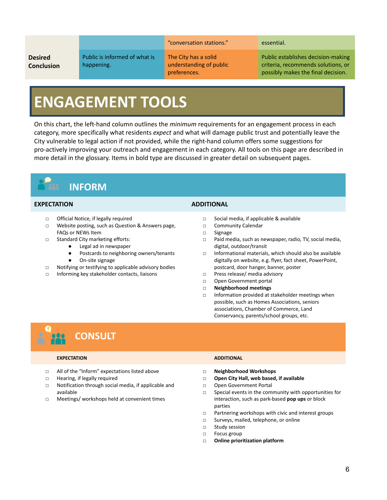#### **Desired Conclusion**

Public is informed of what is happening.

#### "conversation stations." essential.

The City has a solid understanding of public preferences.

Public establishes decision-making criteria, recommends solutions, or possibly makes the final decision.

### **ENGAGEMENT TOOLS**

On this chart, the left-hand column outlines the *minimum* requirements for an engagement process in each category, more specifically what residents *expect* and what will damage public trust and potentially leave the City vulnerable to legal action if not provided, while the right-hand column offers some suggestions for pro-actively improving your outreach and engagement in each category. All tools on this page are described in more detail in the glossary. Items in bold type are discussed in greater detail on subsequent pages.



#### **EXPECTATION ADDITIONAL**

- □ Official Notice, if legally required
- □ Website posting, such as Question & Answers page, FAQs or NEWs Item
- □ Standard City marketing efforts:
	- Legal ad in newspaper
		- Postcards to neighboring owners/tenants
		- On-site signage
- □ Notifying or testifying to applicable advisory bodies
- □ Informing key stakeholder contacts, liaisons

- □ Social media, if applicable & available
- □ Community Calendar
- □ Signage
- □ Paid media, such as newspaper, radio, TV, social media, digital, outdoor/transit
- □ Informational materials, which should also be available digitally on website, e.g. flyer, fact sheet, PowerPoint, postcard, door hanger, banner, poster
- □ Press release/ media advisory
- □ Open Government portal
- □ **Neighborhood meetings**
- □ Information provided at stakeholder meetings when possible, such as Homes Associations, seniors associations, Chamber of Commerce, Land Conservancy, parents/school groups, etc.

### **CONSULT**

#### **EXPECTATION ADDITIONAL**

- □ All of the "Inform" expectations listed above
- □ Hearing, if legally required
- □ Notification through social media, if applicable and available
- □ Meetings/ workshops held at convenient times

- **□ Neighborhood Workshops**
- **□ Open City Hall, web based, if available**
- **□** Open Government Portal
- **□** Special events in the community with opportunities for interaction, such as park-based **pop ups** or block parties
- **□** Partnering workshops with civic and interest groups
- **□** Surveys, mailed, telephone, or online
- **□** Study session
- **□** Focus group
- **□ Online prioritization platform**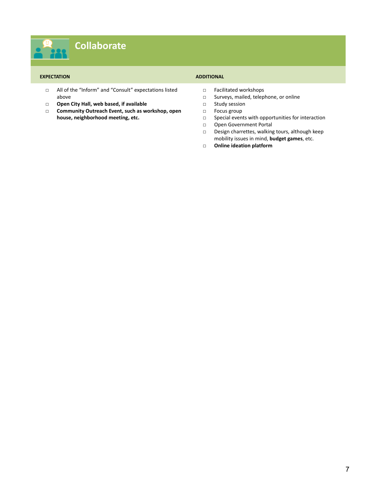#### **EXPECTATION ADDITIONAL**

- □ All of the "Inform" and "Consult" expectations listed above
- □ **Open City Hall, web based, if available**
- □ **Community Outreach Event, such as workshop, open house, neighborhood meeting, etc.**

- □ Facilitated workshops<br>□ Surveys, mailed, telep
- Surveys, mailed, telephone, or online
- □ Study session
- □ Focus group
- □ Special events with opportunities for interaction
- □ Open Government Portal
- □ Design charrettes, walking tours, although keep mobility issues in mind, **budget games**, etc.
- **□ Online ideation platform**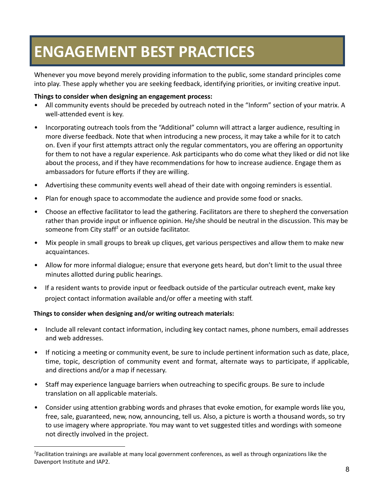### **ENGAGEMENT BEST PRACTICES**

Whenever you move beyond merely providing information to the public, some standard principles come into play. These apply whether you are seeking feedback, identifying priorities, or inviting creative input.

#### **Things to consider when designing an engagement process:**

- All community events should be preceded by outreach noted in the "Inform" section of your matrix. A well-attended event is key.
- Incorporating outreach tools from the "Additional" column will attract a larger audience, resulting in more diverse feedback. Note that when introducing a new process, it may take a while for it to catch on. Even if your first attempts attract only the regular commentators, you are offering an opportunity for them to not have a regular experience. Ask participants who do come what they liked or did not like about the process, and if they have recommendations for how to increase audience. Engage them as ambassadors for future efforts if they are willing.
- Advertising these community events well ahead of their date with ongoing reminders is essential.
- Plan for enough space to accommodate the audience and provide some food or snacks.
- Choose an effective facilitator to lead the gathering. Facilitators are there to shepherd the conversation rather than provide input or influence opinion. He/she should be neutral in the discussion. This may be someone from City staff<sup>2</sup> or an outside facilitator.
- Mix people in small groups to break up cliques, get various perspectives and allow them to make new acquaintances.
- Allow for more informal dialogue; ensure that everyone gets heard, but don't limit to the usual three minutes allotted during public hearings.
- If a resident wants to provide input or feedback outside of the particular outreach event, make key project contact information available and/or offer a meeting with staff.

#### **Things to consider when designing and/or writing outreach materials:**

- Include all relevant contact information, including key contact names, phone numbers, email addresses and web addresses.
- If noticing a meeting or community event, be sure to include pertinent information such as date, place, time, topic, description of community event and format, alternate ways to participate, if applicable, and directions and/or a map if necessary.
- Staff may experience language barriers when outreaching to specific groups. Be sure to include translation on all applicable materials.
- Consider using attention grabbing words and phrases that evoke emotion, for example words like you, free, sale, guaranteed, new, now, announcing, tell us. Also, a picture is worth a thousand words, so try to use imagery where appropriate. You may want to vet suggested titles and wordings with someone not directly involved in the project.

<sup>&</sup>lt;sup>2</sup>Facilitation trainings are available at many local government conferences, as well as through organizations like the Davenport Institute and IAP2.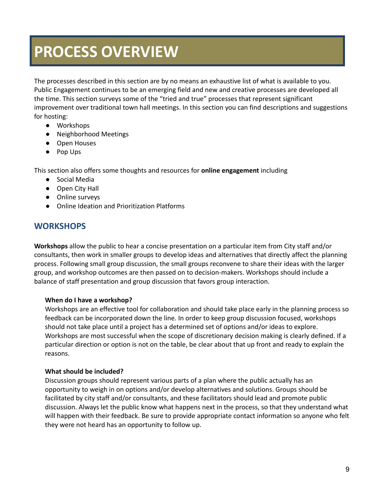### **PROCESS OVERVIEW**

The processes described in this section are by no means an exhaustive list of what is available to you. Public Engagement continues to be an emerging field and new and creative processes are developed all the time. This section surveys some of the "tried and true" processes that represent significant improvement over traditional town hall meetings. In this section you can find descriptions and suggestions for hosting:

- Workshops
- Neighborhood Meetings
- Open Houses
- Pop Ups

This section also offers some thoughts and resources for **online engagement** including

- Social Media
- Open City Hall
- Online surveys
- Online Ideation and Prioritization Platforms

#### **WORKSHOPS**

**Workshops** allow the public to hear a concise presentation on a particular item from City staff and/or consultants, then work in smaller groups to develop ideas and alternatives that directly affect the planning process. Following small group discussion, the small groups reconvene to share their ideas with the larger group, and workshop outcomes are then passed on to decision-makers. Workshops should include a balance of staff presentation and group discussion that favors group interaction.

#### **When do I have a workshop?**

Workshops are an effective tool for collaboration and should take place early in the planning process so feedback can be incorporated down the line. In order to keep group discussion focused, workshops should not take place until a project has a determined set of options and/or ideas to explore. Workshops are most successful when the scope of discretionary decision making is clearly defined. If a particular direction or option is not on the table, be clear about that up front and ready to explain the reasons.

#### **What should be included?**

Discussion groups should represent various parts of a plan where the public actually has an opportunity to weigh in on options and/or develop alternatives and solutions. Groups should be facilitated by city staff and/or consultants, and these facilitators should lead and promote public discussion. Always let the public know what happens next in the process, so that they understand what will happen with their feedback. Be sure to provide appropriate contact information so anyone who felt they were not heard has an opportunity to follow up.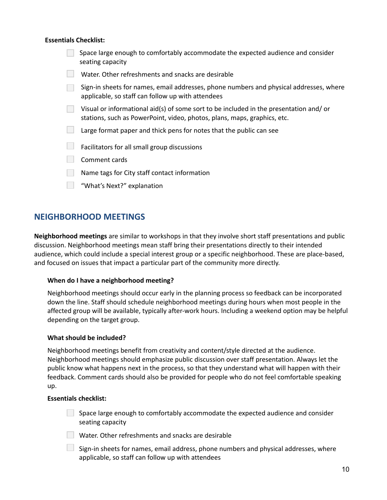#### **Essentials Checklist:**

| Space large enough to comfortably accommodate the expected audience and consider<br>seating capacity                                                              |
|-------------------------------------------------------------------------------------------------------------------------------------------------------------------|
| Water. Other refreshments and snacks are desirable                                                                                                                |
| Sign-in sheets for names, email addresses, phone numbers and physical addresses, where<br>applicable, so staff can follow up with attendees                       |
| Visual or informational aid(s) of some sort to be included in the presentation and/or<br>stations, such as PowerPoint, video, photos, plans, maps, graphics, etc. |
| Large format paper and thick pens for notes that the public can see                                                                                               |
| Facilitators for all small group discussions                                                                                                                      |
| Comment cards                                                                                                                                                     |
| Name tags for City staff contact information                                                                                                                      |
| "What's Next?" explanation                                                                                                                                        |

#### **NEIGHBORHOOD MEETINGS**

**Neighborhood meetings** are similar to workshops in that they involve short staff presentations and public discussion. Neighborhood meetings mean staff bring their presentations directly to their intended audience, which could include a special interest group or a specific neighborhood. These are place-based, and focused on issues that impact a particular part of the community more directly.

#### **When do I have a neighborhood meeting?**

Neighborhood meetings should occur early in the planning process so feedback can be incorporated down the line. Staff should schedule neighborhood meetings during hours when most people in the affected group will be available, typically after-work hours. Including a weekend option may be helpful depending on the target group.

#### **What should be included?**

Neighborhood meetings benefit from creativity and content/style directed at the audience. Neighborhood meetings should emphasize public discussion over staff presentation. Always let the public know what happens next in the process, so that they understand what will happen with their feedback. Comment cards should also be provided for people who do not feel comfortable speaking up.

#### **Essentials checklist:**

Space large enough to comfortably accommodate the expected audience and consider seating capacity

Water. Other refreshments and snacks are desirable

 $\Box$  Sign-in sheets for names, email address, phone numbers and physical addresses, where applicable, so staff can follow up with attendees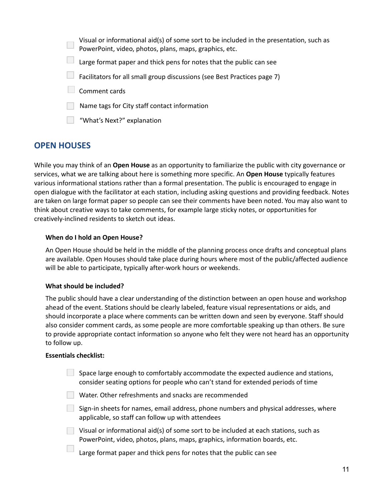Visual or informational aid(s) of some sort to be included in the presentation, such as PowerPoint, video, photos, plans, maps, graphics, etc. Large format paper and thick pens for notes that the public can see  $\Box$  Facilitators for all small group discussions (see Best Practices page 7) Comment cards

- Name tags for City staff contact information
- **What's Next?" explanation**

### **OPEN HOUSES**

While you may think of an **Open House** as an opportunity to familiarize the public with city governance or services, what we are talking about here is something more specific. An **Open House** typically features various informational stations rather than a formal presentation. The public is encouraged to engage in open dialogue with the facilitator at each station, including asking questions and providing feedback. Notes are taken on large format paper so people can see their comments have been noted. You may also want to think about creative ways to take comments, for example large sticky notes, or opportunities for creatively-inclined residents to sketch out ideas.

#### **When do I hold an Open House?**

An Open House should be held in the middle of the planning process once drafts and conceptual plans are available. Open Houses should take place during hours where most of the public/affected audience will be able to participate, typically after-work hours or weekends.

#### **What should be included?**

The public should have a clear understanding of the distinction between an open house and workshop ahead of the event. Stations should be clearly labeled, feature visual representations or aids, and should incorporate a place where comments can be written down and seen by everyone. Staff should also consider comment cards, as some people are more comfortable speaking up than others. Be sure to provide appropriate contact information so anyone who felt they were not heard has an opportunity to follow up.

#### **Essentials checklist:**

| Space large enough to comfortably accommodate the expected audience and stations,<br>consider seating options for people who can't stand for extended periods of time |
|-----------------------------------------------------------------------------------------------------------------------------------------------------------------------|
| Water. Other refreshments and snacks are recommended                                                                                                                  |
| Sign-in sheets for names, email address, phone numbers and physical addresses, where<br>applicable, so staff can follow up with attendees                             |
| Visual or informational aid(s) of some sort to be included at each stations, such as<br>PowerPoint, video, photos, plans, maps, graphics, information boards, etc.    |
| Large format paper and thick pens for notes that the public can see                                                                                                   |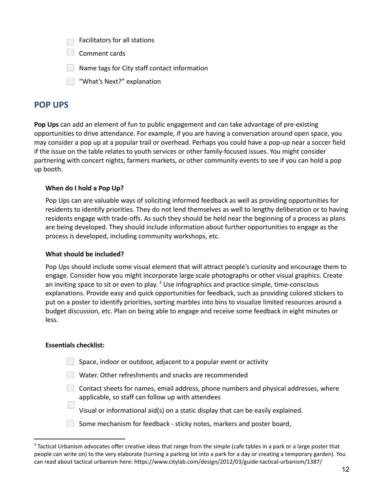|  | Facilitators for all stations |  |  |
|--|-------------------------------|--|--|
|--|-------------------------------|--|--|

- Comment cards
- $\Box$  Name tags for City staff contact information
- What's Next?" explanation

#### **POP UPS**

**Pop Ups** can add an element of fun to public engagement and can take advantage of pre-existing opportunities to drive attendance. For example, if you are having a conversation around open space, you may consider a pop up at a popular trail or overhead. Perhaps you could have a pop-up near a soccer field if the issue on the table relates to youth services or other family-focused issues. You might consider partnering with concert nights, farmers markets, or other community events to see if you can hold a pop up booth.

#### **When do I hold a Pop Up?**

Pop Ups can are valuable ways of soliciting informed feedback as well as providing opportunities for residents to identify priorities. They do not lend themselves as well to lengthy deliberation or to having residents engage with trade-offs. As such they should be held near the beginning of a process as plans are being developed. They should include information about further opportunities to engage as the process is developed, including community workshops, etc.

#### **What should be included?**

Pop Ups should include some visual element that will attract people's curiosity and encourage them to engage. Consider how you might incorporate large scale photographs or other visual graphics. Create an inviting space to sit or even to play. <sup>3</sup> Use infographics and practice simple, time-conscious explanations. Provide easy and quick opportunities for feedback, such as providing colored stickers to put on a poster to identify priorities, sorting marbles into bins to visualize limited resources around a budget discussion, etc. Plan on being able to engage and receive some feedback in eight minutes or less.

#### **Essentials checklist:**

 $\mathcal{L}_{\mathcal{A}}$ 

- $\Box$  Space, indoor or outdoor, adjacent to a popular event or activity
- Water. Other refreshments and snacks are recommended
- $\Box$  Contact sheets for names, email address, phone numbers and physical addresses, where applicable, so staff can follow up with attendees
	- Visual or informational aid(s) on a static display that can be easily explained.
- Some mechanism for feedback sticky notes, markers and poster board,

<sup>&</sup>lt;sup>3</sup> Tactical Urbanism advocates offer creative ideas that range from the simple (cafe tables in a park or a large poster that people can write on) to the very elaborate (turning a parking lot into a park for a day or creating a temporary garden). You can read about tactical urbanism here: https://www.citylab.com/design/2012/03/guide-tactical-urbanism/1387/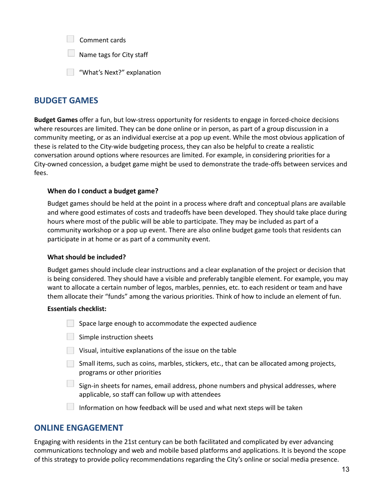| Comment cards |  |
|---------------|--|
|---------------|--|

 $\Box$  Name tags for City staff

**What's Next?" explanation** 

#### **BUDGET GAMES**

**Budget Games** offer a fun, but low-stress opportunity for residents to engage in forced-choice decisions where resources are limited. They can be done online or in person, as part of a group discussion in a community meeting, or as an individual exercise at a pop up event. While the most obvious application of these is related to the City-wide budgeting process, they can also be helpful to create a realistic conversation around options where resources are limited. For example, in considering priorities for a City-owned concession, a budget game might be used to demonstrate the trade-offs between services and fees.

#### **When do I conduct a budget game?**

Budget games should be held at the point in a process where draft and conceptual plans are available and where good estimates of costs and tradeoffs have been developed. They should take place during hours where most of the public will be able to participate. They may be included as part of a community workshop or a pop up event. There are also online budget game tools that residents can participate in at home or as part of a community event.

#### **What should be included?**

Budget games should include clear instructions and a clear explanation of the project or decision that is being considered. They should have a visible and preferably tangible element. For example, you may want to allocate a certain number of legos, marbles, pennies, etc. to each resident or team and have them allocate their "funds" among the various priorities. Think of how to include an element of fun.

#### **Essentials checklist:**

- $\Box$  Space large enough to accommodate the expected audience
- $\Box$  Simple instruction sheets
- Visual, intuitive explanations of the issue on the table
- Small items, such as coins, marbles, stickers, etc., that can be allocated among projects, programs or other priorities
- Sign-in sheets for names, email address, phone numbers and physical addresses, where applicable, so staff can follow up with attendees
- Information on how feedback will be used and what next steps will be taken

#### **ONLINE ENGAGEMENT**

Engaging with residents in the 21st century can be both facilitated and complicated by ever advancing communications technology and web and mobile based platforms and applications. It is beyond the scope of this strategy to provide policy recommendations regarding the City's online or social media presence.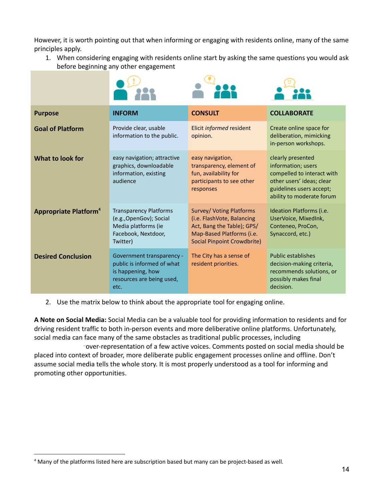However, it is worth pointing out that when informing or engaging with residents online, many of the same principles apply.

1. When considering engaging with residents online start by asking the same questions you would ask before beginning any other engagement



| <b>Purpose</b>                          | <b>INFORM</b>                                                                                                      | <b>CONSULT</b>                                                                                                                                          | <b>COLLABORATE</b>                                                                                                                                          |
|-----------------------------------------|--------------------------------------------------------------------------------------------------------------------|---------------------------------------------------------------------------------------------------------------------------------------------------------|-------------------------------------------------------------------------------------------------------------------------------------------------------------|
| <b>Goal of Platform</b>                 | Provide clear, usable<br>information to the public.                                                                | Elicit informed resident<br>opinion.                                                                                                                    | Create online space for<br>deliberation, mimicking<br>in-person workshops.                                                                                  |
| What to look for                        | easy navigation; attractive<br>graphics, downloadable<br>information, existing<br>audience                         | easy navigation,<br>transparency, element of<br>fun, availability for<br>participants to see other<br>responses                                         | clearly presented<br>information; users<br>compelled to interact with<br>other users' ideas; clear<br>guidelines users accept;<br>ability to moderate forum |
| <b>Appropriate Platform<sup>4</sup></b> | <b>Transparency Platforms</b><br>(e.g., OpenGov); Social<br>Media platforms (ie<br>Facebook, Nextdoor,<br>Twitter) | <b>Survey/ Voting Platforms</b><br>(i.e. FlashVote, Balancing<br>Act, Bang the Table); GPS/<br>Map-Based Platforms (i.e.<br>Social Pinpoint Crowdbrite) | Ideation Platforms (i.e.<br>UserVoice, MixedInk,<br>Conteneo, ProCon,<br>Synaccord, etc.)                                                                   |
| <b>Desired Conclusion</b>               | Government transparency -<br>public is informed of what<br>is happening, how<br>resources are being used,<br>etc.  | The City has a sense of<br>resident priorities.                                                                                                         | <b>Public establishes</b><br>decision-making criteria,<br>recommends solutions, or<br>possibly makes final<br>decision.                                     |

2. Use the matrix below to think about the appropriate tool for engaging online.

**A Note on Social Media:** Social Media can be a valuable tool for providing information to residents and for driving resident traffic to both in-person events and more deliberative online platforms. Unfortunately, social media can face many of the same obstacles as traditional public processes, including

over-representation of a few active voices. Comments posted on social media should be placed into context of broader, more deliberate public engagement processes online and offline. Don't assume social media tells the whole story. It is most properly understood as a tool for informing and promoting other opportunities.

<sup>4</sup> Many of the platforms listed here are subscription based but many can be project-based as well.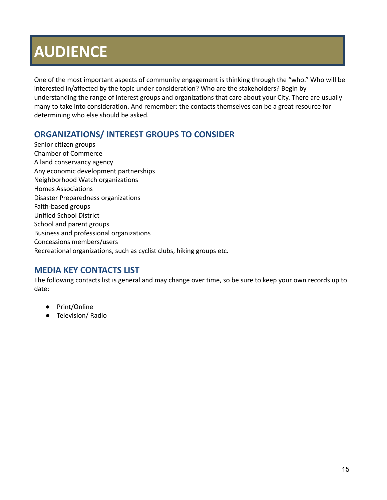## **AUDIENCE**

One of the most important aspects of community engagement is thinking through the "who." Who will be interested in/affected by the topic under consideration? Who are the stakeholders? Begin by understanding the range of interest groups and organizations that care about your City. There are usually many to take into consideration. And remember: the contacts themselves can be a great resource for determining who else should be asked.

### **ORGANIZATIONS/ INTEREST GROUPS TO CONSIDER**

Senior citizen groups Chamber of Commerce A land conservancy agency Any economic development partnerships Neighborhood Watch organizations Homes Associations Disaster Preparedness organizations Faith-based groups Unified School District School and parent groups Business and professional organizations Concessions members/users Recreational organizations, such as cyclist clubs, hiking groups etc.

### **MEDIA KEY CONTACTS LIST**

The following contacts list is general and may change over time, so be sure to keep your own records up to date:

- Print/Online
- Television/ Radio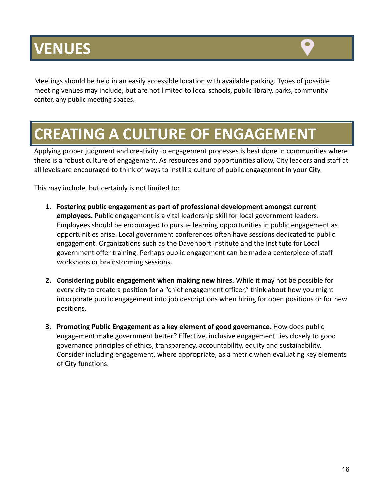## **VENUES**



Meetings should be held in an easily accessible location with available parking. Types of possible meeting venues may include, but are not limited to local schools, public library, parks, community center, any public meeting spaces.

### **CREATING A CULTURE OF ENGAGEMENT**

Applying proper judgment and creativity to engagement processes is best done in communities where there is a robust culture of engagement. As resources and opportunities allow, City leaders and staff at all levels are encouraged to think of ways to instill a culture of public engagement in your City.

This may include, but certainly is not limited to:

- **1. Fostering public engagement as part of professional development amongst current employees.** Public engagement is a vital leadership skill for local government leaders. Employees should be encouraged to pursue learning opportunities in public engagement as opportunities arise. Local government conferences often have sessions dedicated to public engagement. Organizations such as the Davenport Institute and the Institute for Local government offer training. Perhaps public engagement can be made a centerpiece of staff workshops or brainstorming sessions.
- **2. Considering public engagement when making new hires.** While it may not be possible for every city to create a position for a "chief engagement officer," think about how you might incorporate public engagement into job descriptions when hiring for open positions or for new positions.
- **3. Promoting Public Engagement as a key element of good governance.** How does public engagement make government better? Effective, inclusive engagement ties closely to good governance principles of ethics, transparency, accountability, equity and sustainability. Consider including engagement, where appropriate, as a metric when evaluating key elements of City functions.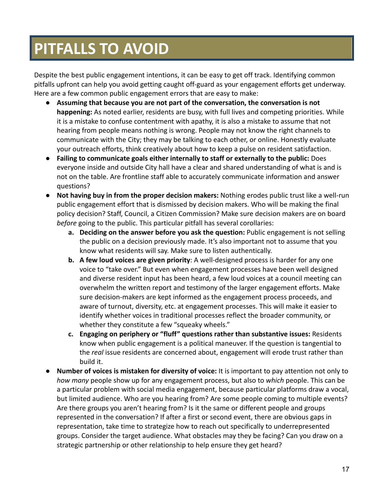## **PITFALLS TO AVOID**

Despite the best public engagement intentions, it can be easy to get off track. Identifying common pitfalls upfront can help you avoid getting caught off-guard as your engagement efforts get underway. Here are a few common public engagement errors that are easy to make:

- **Assuming that because you are not part of the conversation, the conversation is not happening:** As noted earlier, residents are busy, with full lives and competing priorities. While it is a mistake to confuse contentment with apathy, it is also a mistake to assume that not hearing from people means nothing is wrong. People may not know the right channels to communicate with the City; they may be talking to each other, or online. Honestly evaluate your outreach efforts, think creatively about how to keep a pulse on resident satisfaction.
- **● Failing to communicate goals either internally to staff or externally to the public:** Does everyone inside and outside City hall have a clear and shared understanding of what is and is not on the table. Are frontline staff able to accurately communicate information and answer questions?
- **● Not having buy in from the proper decision makers:** Nothing erodes public trust like a well-run public engagement effort that is dismissed by decision makers. Who will be making the final policy decision? Staff, Council, a Citizen Commission? Make sure decision makers are on board *before* going to the public. This particular pitfall has several corollaries:
	- **a. Deciding on the answer before you ask the question:** Public engagement is not selling the public on a decision previously made. It's also important not to assume that you know what residents will say. Make sure to listen authentically.
	- **b. A few loud voices are given priority**: A well-designed process is harder for any one voice to "take over." But even when engagement processes have been well designed and diverse resident input has been heard, a few loud voices at a council meeting can overwhelm the written report and testimony of the larger engagement efforts. Make sure decision-makers are kept informed as the engagement process proceeds, and aware of turnout, diversity, etc. at engagement processes. This will make it easier to identify whether voices in traditional processes reflect the broader community, or whether they constitute a few "squeaky wheels."
	- **c. Engaging on periphery or "fluff" questions rather than substantive issues:** Residents know when public engagement is a political maneuver. If the question is tangential to the *real* issue residents are concerned about, engagement will erode trust rather than build it.
- **● Number of voices is mistaken for diversity of voice:** It is important to pay attention not only to *how many* people show up for any engagement process, but also to *which* people. This can be a particular problem with social media engagement, because particular platforms draw a vocal, but limited audience. Who are you hearing from? Are some people coming to multiple events? Are there groups you aren't hearing from? Is it the same or different people and groups represented in the conversation? If after a first or second event, there are obvious gaps in representation, take time to strategize how to reach out specifically to underrepresented groups. Consider the target audience. What obstacles may they be facing? Can you draw on a strategic partnership or other relationship to help ensure they get heard?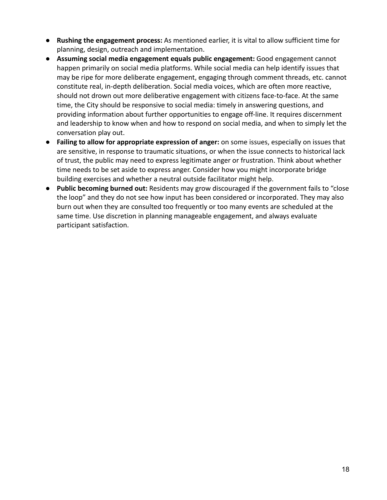- **● Rushing the engagement process:** As mentioned earlier, it is vital to allow sufficient time for planning, design, outreach and implementation.
- **Assuming social media engagement equals public engagement:** Good engagement cannot happen primarily on social media platforms. While social media can help identify issues that may be ripe for more deliberate engagement, engaging through comment threads, etc. cannot constitute real, in-depth deliberation. Social media voices, which are often more reactive, should not drown out more deliberative engagement with citizens face-to-face. At the same time, the City should be responsive to social media: timely in answering questions, and providing information about further opportunities to engage off-line. It requires discernment and leadership to know when and how to respond on social media, and when to simply let the conversation play out.
- **Failing to allow for appropriate expression of anger:** on some issues, especially on issues that are sensitive, in response to traumatic situations, or when the issue connects to historical lack of trust, the public may need to express legitimate anger or frustration. Think about whether time needs to be set aside to express anger. Consider how you might incorporate bridge building exercises and whether a neutral outside facilitator might help.
- **Public becoming burned out:** Residents may grow discouraged if the government fails to "close the loop" and they do not see how input has been considered or incorporated. They may also burn out when they are consulted too frequently or too many events are scheduled at the same time. Use discretion in planning manageable engagement, and always evaluate participant satisfaction.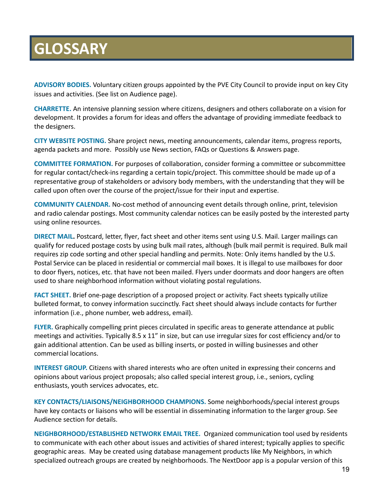### **GLOSSARY**

**ADVISORY BODIES.** Voluntary citizen groups appointed by the PVE City Council to provide input on key City issues and activities. (See list on Audience page).

**CHARRETTE.** An intensive planning session where citizens, designers and others collaborate on a vision for development. It provides a forum for ideas and offers the advantage of providing immediate feedback to the designers.

**CITY WEBSITE POSTING.** Share project news, meeting announcements, calendar items, progress reports, agenda packets and more. Possibly use News section, FAQs or Questions & Answers page.

**COMMITTEE FORMATION.** For purposes of collaboration, consider forming a committee or subcommittee for regular contact/check-ins regarding a certain topic/project. This committee should be made up of a representative group of stakeholders or advisory body members, with the understanding that they will be called upon often over the course of the project/issue for their input and expertise.

**COMMUNITY CALENDAR.** No-cost method of announcing event details through online, print, television and radio calendar postings. Most community calendar notices can be easily posted by the interested party using online resources.

**DIRECT MAIL.** [Postcard](https://docs.google.com/document/d/18Di2avTN0a-LyjNFU34MKYb1unQ_61Wg/edit#heading=h.3dy6vkm), letter, [flyer,](https://docs.google.com/document/d/18Di2avTN0a-LyjNFU34MKYb1unQ_61Wg/edit#heading=h.1t3h5sf) fact [sheet](https://docs.google.com/document/d/18Di2avTN0a-LyjNFU34MKYb1unQ_61Wg/edit#heading=h.4d34og8) and other items sent using U.S. Mail. Larger mailings can qualify for reduced postage costs by using bulk mail rates, although (bulk mail permit is required. Bulk mail requires zip code sorting and other special handling and permits. Note: Only items handled by the U.S. Postal Service can be placed in residential or commercial mail boxes. It is illegal to use mailboxes for door to door flyers, notices, etc. that have not been mailed. Flyers under doormats and door hangers are often used to share neighborhood information without violating postal regulations.

**FACT [SHEET](https://docs.google.com/document/d/18Di2avTN0a-LyjNFU34MKYb1unQ_61Wg/edit#heading=h.4d34og8).** Brief one-page description of a proposed project or activity. Fact sheets typically utilize bulleted format, to convey information succinctly. Fact sheet should always include contacts for further information (i.e., phone number, web address, email).

**[FLYER](https://docs.google.com/document/d/18Di2avTN0a-LyjNFU34MKYb1unQ_61Wg/edit#heading=h.1t3h5sf).** Graphically compelling print pieces circulated in specific areas to generate attendance at public meetings and activities. Typically 8.5 x 11" in size, but can use irregular sizes for cost efficiency and/or to gain additional attention. Can be used as billing inserts, or posted in willing businesses and other commercial locations.

**INTEREST GROUP.** Citizens with shared interests who are often united in expressing their concerns and opinions about various project proposals; also called special interest group, i.e., seniors, cycling enthusiasts, youth services advocates, etc.

**KEY CONTACTS/LIAISONS/NEIGHBORHOOD CHAMPIONS.** Some neighborhoods/special interest groups have key contacts or liaisons who will be essential in disseminating information to the larger group. See Audience section for details.

**NEIGHBORHOOD/ESTABLISHED NETWORK EMAIL TREE.** Organized communication tool used by residents to communicate with each other about issues and activities of shared interest; typically applies to specific geographic areas. May be created using database management products like My Neighbors, in which specialized outreach groups are created by neighborhoods. The NextDoor app is a popular version of this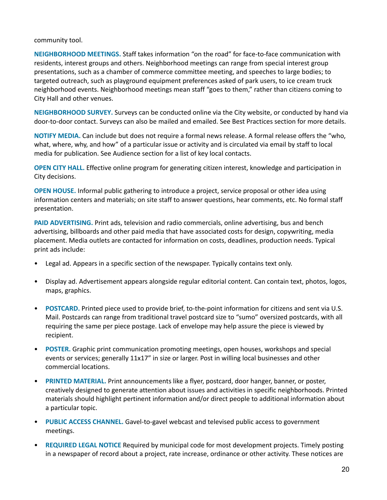#### community tool.

**NEIGHBORHOOD MEETINGS.** Staff takes information "on the road" for face-to-face communication with residents, interest groups and others. Neighborhood meetings can range from special interest group presentations, such as a chamber of commerce committee meeting, and speeches to large bodies; to targeted outreach, such as playground equipment preferences asked of park users, to ice cream truck neighborhood events. Neighborhood meetings mean staff "goes to them," rather than citizens coming to City Hall and other venues.

**[NEIGHBORHOOD](https://docs.google.com/document/d/18Di2avTN0a-LyjNFU34MKYb1unQ_61Wg/edit#heading=h.2s8eyo1) SURVEY.** Surveys can be conducted online via the City website, or conducted by hand via door-to-door contact. Surveys can also be mailed and emailed. See Best Practices section for more details.

**NOTIFY MEDIA.** Can include but does not require a formal news release. A formal release offers the "who, what, where, why, and how" of a particular issue or activity and is circulated via email by staff to local media for publication. See Audience section for a list of key local contacts.

**OPEN CITY HALL.** Effective online program for generating citizen interest, knowledge and participation in City decisions.

**OPEN HOUSE.** Informal public gathering to introduce a project, service proposal or other idea using information centers and materials; on site staff to answer questions, hear comments, etc. No formal staff presentation.

**PAID [ADVERTISING](https://docs.google.com/document/d/18Di2avTN0a-LyjNFU34MKYb1unQ_61Wg/edit#heading=h.17dp8vu).** Print ads, television and radio commercials, online advertising, bus and bench advertising, billboards and other paid media that have associated costs for design, copywriting, media placement. Media outlets are contacted for information on costs, deadlines, production needs. Typical print ads include:

- Legal ad. Appears in a specific section of the newspaper. Typically contains text only.
- Display ad. Advertisement appears alongside regular editorial content. Can contain text, photos, logos, maps, graphics.
- **[POSTCARD](https://docs.google.com/document/d/18Di2avTN0a-LyjNFU34MKYb1unQ_61Wg/edit#heading=h.3dy6vkm).** Printed piece used to provide brief, to-the-point information for citizens and sent via U.S. Mail. Postcards can range from traditional travel postcard size to "sumo" oversized postcards, with all requiring the same per piece postage. Lack of envelope may help assure the piece is viewed by recipient.
- **[POSTER.](https://docs.google.com/document/d/18Di2avTN0a-LyjNFU34MKYb1unQ_61Wg/edit#heading=h.1t3h5sf)** Graphic print communication promoting meetings, open houses, workshops and special events or services; generally 11x17" in size or larger. Post in willing local businesses and other commercial locations.
- **PRINTED MATERIAL.** Print announcements like a flyer, postcard, door hanger, banner, or poster, creatively designed to generate attention about issues and activities in specific neighborhoods. Printed materials should highlight pertinent information and/or direct people to additional information about a particular topic.
- **PUBLIC ACCESS CHANNEL.** Gavel-to-gavel webcast and televised public access to government meetings.
- **REQUIRED LEGAL NOTICE** Required by municipal code for most development projects. Timely posting in a newspaper of record about a project, rate increase, ordinance or other activity. These notices are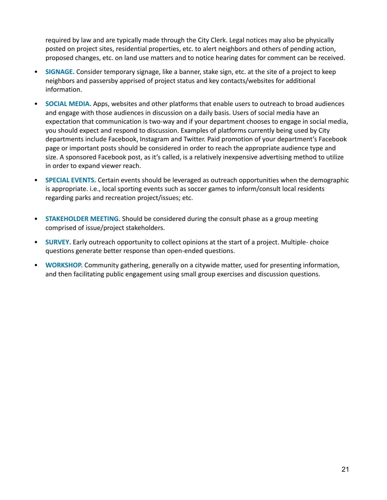required by law and are typically made through the City Clerk. Legal notices may also be physically posted on project sites, residential properties, etc. to alert neighbors and others of pending action, proposed changes, etc. on land use matters and to notice hearing dates for comment can be received.

- **[SIGNAGE](#page-22-0).** Consider temporary signage, like a banner, stake sign, etc. at the site of a project to keep neighbors and passersby apprised of project status and key contacts/websites for additional information.
- **SOCIAL MEDIA.** Apps, websites and other platforms that enable users to outreach to broad audiences and engage with those audiences in discussion on a daily basis. Users of social media have an expectation that communication is two-way and if your department chooses to engage in social media, you should expect and respond to discussion. Examples of platforms currently being used by City departments include Facebook, Instagram and Twitter. Paid promotion of your department's Facebook page or important posts should be considered in order to reach the appropriate audience type and size. A sponsored Facebook post, as it's called, is a relatively inexpensive advertising method to utilize in order to expand viewer reach.
- **SPECIAL EVENTS.** Certain events should be leveraged as outreach opportunities when the demographic is appropriate. i.e., local sporting events such as soccer games to inform/consult local residents regarding parks and recreation project/issues; etc.
- **STAKEHOLDER MEETING.** Should be considered during the consult phase as a group meeting comprised of issue/project stakeholders.
- **[SURVEY.](https://docs.google.com/document/d/18Di2avTN0a-LyjNFU34MKYb1unQ_61Wg/edit#heading=h.2s8eyo1)** Early outreach opportunity to collect opinions at the start of a project. Multiple- choice questions generate better response than open-ended questions.
- **WORKSHOP.** Community gathering, generally on a citywide matter, used for presenting information, and then facilitating public engagement using small group exercises and discussion questions.